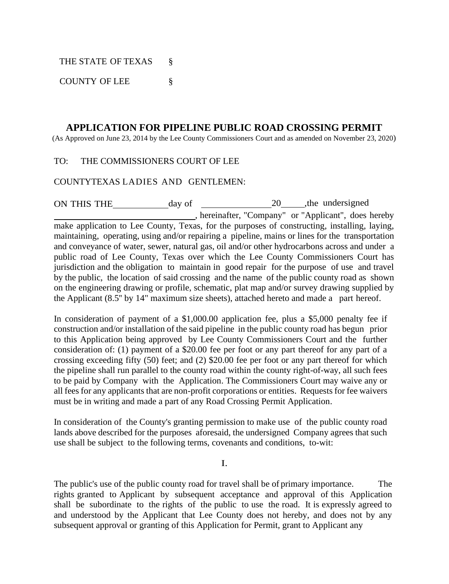THE STATE OF TEXAS §

COUNTY OF LEE §

# **APPLICATION FOR PIPELINE PUBLIC ROAD CROSSING PERMIT**

(As Approved on June 23, 2014 by the Lee County Commissioners Court and as amended on November 23, 2020)

# TO: THE COMMISSIONERS COURT OF LEE

### COUNTYTEXAS LADIES AND GENTLEMEN:

ON THIS THE day of 20 , the undersigned , hereinafter, "Company" or "Applicant", does hereby make application to Lee County, Texas, for the purposes of constructing, installing, laying, maintaining, operating, using and/or repairing a pipeline, mains or lines for the transportation and conveyance of water, sewer, natural gas, oil and/or other hydrocarbons across and under a public road of Lee County, Texas over which the Lee County Commissioners Court has jurisdiction and the obligation to maintain in good repair for the purpose of use and travel by the public, the location of said crossing and the name of the public county road as shown on the engineering drawing or profile, schematic, plat map and/or survey drawing supplied by the Applicant (8.5'' by 14" maximum size sheets), attached hereto and made a part hereof.

In consideration of payment of a \$1,000.00 application fee, plus a \$5,000 penalty fee if construction and/or installation of the said pipeline in the public county road has begun prior to this Application being approved by Lee County Commissioners Court and the further consideration of: (1) payment of a \$20.00 fee per foot or any part thereof for any part of a crossing exceeding fifty (50) feet; and (2) \$20.00 fee per foot or any part thereof for which the pipeline shall run parallel to the county road within the county right-of-way, all such fees to be paid by Company with the Application. The Commissioners Court may waive any or all fees for any applicants that are non-profit corporations or entities. Requests for fee waivers must be in writing and made a part of any Road Crossing Permit Application.

In consideration of the County's granting permission to make use of the public county road lands above described for the purposes aforesaid, the undersigned Company agrees that such use shall be subject to the following terms, covenants and conditions, to-wit:

I.

The public's use of the public county road for travel shall be of primary importance. The rights granted to Applicant by subsequent acceptance and approval of this Application shall be subordinate to the rights of the public to use the road. It is expressly agreed to and understood by the Applicant that Lee County does not hereby, and does not by any subsequent approval or granting of this Application for Permit, grant to Applicant any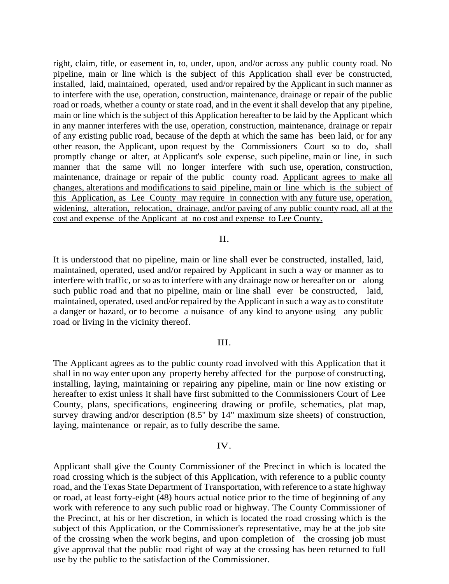right, claim, title, or easement in, to, under, upon, and/or across any public county road. No pipeline, main or line which is the subject of this Application shall ever be constructed, installed, laid, maintained, operated, used and/or repaired by the Applicant in such manner as to interfere with the use, operation, construction, maintenance, drainage or repair of the public road or roads, whether a county or state road, and in the event it shall develop that any pipeline, main or line which is the subject of this Application hereafter to be laid by the Applicant which in any manner interferes with the use, operation, construction, maintenance, drainage or repair of any existing public road, because of the depth at which the same has been laid, or for any other reason, the Applicant, upon request by the Commissioners Court so to do, shall promptly change or alter, at Applicant's sole expense, such pipeline, main or line, in such manner that the same will no longer interfere with such use, operation, construction, maintenance, drainage or repair of the public county road. Applicant agrees to make all changes, alterations and modifications to said pipeline, main or line which is the subject of this Application, as Lee County may require in connection with any future use, operation, widening, alteration, relocation, drainage, and/or paving of any public county road, all at the cost and expense of the Applicant at no cost and expense to Lee County.

### II.

It is understood that no pipeline, main or line shall ever be constructed, installed, laid, maintained, operated, used and/or repaired by Applicant in such a way or manner as to interfere with traffic, or so as to interfere with any drainage now or hereafter on or along such public road and that no pipeline, main or line shall ever be constructed, laid, maintained, operated, used and/or repaired by the Applicant in such a way as to constitute a danger or hazard, or to become a nuisance of any kind to anyone using any public road or living in the vicinity thereof.

### III.

The Applicant agrees as to the public county road involved with this Application that it shall in no way enter upon any property hereby affected for the purpose of constructing, installing, laying, maintaining or repairing any pipeline, main or line now existing or hereafter to exist unless it shall have first submitted to the Commissioners Court of Lee County, plans, specifications, engineering drawing or profile, schematics, plat map, survey drawing and/or description (8.5'' by 14" maximum size sheets) of construction, laying, maintenance or repair, as to fully describe the same.

#### IV.

Applicant shall give the County Commissioner of the Precinct in which is located the road crossing which is the subject of this Application, with reference to a public county road, and the Texas State Department of Transportation, with reference to a state highway or road, at least forty-eight (48) hours actual notice prior to the time of beginning of any work with reference to any such public road or highway. The County Commissioner of the Precinct, at his or her discretion, in which is located the road crossing which is the subject of this Application, or the Commissioner's representative, may be at the job site of the crossing when the work begins, and upon completion of the crossing job must give approval that the public road right of way at the crossing has been returned to full use by the public to the satisfaction of the Commissioner.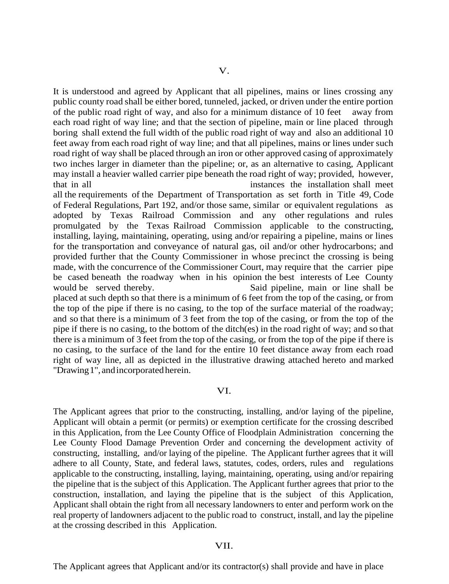It is understood and agreed by Applicant that all pipelines, mains or lines crossing any public county road shall be either bored, tunneled, jacked, or driven under the entire portion of the public road right of way, and also for a minimum distance of 10 feet away from each road right of way line; and that the section of pipeline, main or line placed through boring shall extend the full width of the public road right of way and also an additional 10 feet away from each road right of way line; and that all pipelines, mains or lines under such road right of way shall be placed through an iron or other approved casing of approximately two inches larger in diameter than the pipeline; or, as an alternative to casing, Applicant may install a heavier walled carrier pipe beneath the road right of way; provided, however, that in all instances the installation shall meet

all the requirements of the Department of Transportation as set forth in Title 49, Code of Federal Regulations, Part 192, and/or those same, similar or equivalent regulations as adopted by Texas Railroad Commission and any other regulations and rules promulgated by the Texas Railroad Commission applicable to the constructing, installing, laying, maintaining, operating, using and/or repairing a pipeline, mains or lines for the transportation and conveyance of natural gas, oil and/or other hydrocarbons; and provided further that the County Commissioner in whose precinct the crossing is being made, with the concurrence of the Commissioner Court, may require that the carrier pipe be cased beneath the roadway when in his opinion the best interests of Lee County would be served thereby. Said pipeline, main or line shall be placed at such depth so that there is a minimum of 6 feet from the top of the casing, or from the top of the pipe if there is no casing, to the top of the surface material of the roadway; and so that there is a minimum of 3 feet from the top of the casing, or from the top of the pipe if there is no casing, to the bottom of the ditch(es) in the road right of way; and so that there is a minimum of 3 feet from the top of the casing, or from the top of the pipe if there is no casing, to the surface of the land for the entire 10 feet distance away from each road right of way line, all as depicted in the illustrative drawing attached hereto and marked "Drawing1", andincorporated herein.

### VI.

The Applicant agrees that prior to the constructing, installing, and/or laying of the pipeline, Applicant will obtain a permit (or permits) or exemption certificate for the crossing described in this Application, from the Lee County Office of Floodplain Administration concerning the Lee County Flood Damage Prevention Order and concerning the development activity of constructing, installing, and/or laying of the pipeline. The Applicant further agrees that it will adhere to all County, State, and federal laws, statutes, codes, orders, rules and regulations applicable to the constructing, installing, laying, maintaining, operating, using and/or repairing the pipeline that is the subject of this Application. The Applicant further agrees that prior to the construction, installation, and laying the pipeline that is the subject of this Application, Applicant shall obtain the right from all necessary landowners to enter and perform work on the real property of landowners adjacent to the public road to construct, install, and lay the pipeline at the crossing described in this Application.

#### VII.

The Applicant agrees that Applicant and/or its contractor(s) shall provide and have in place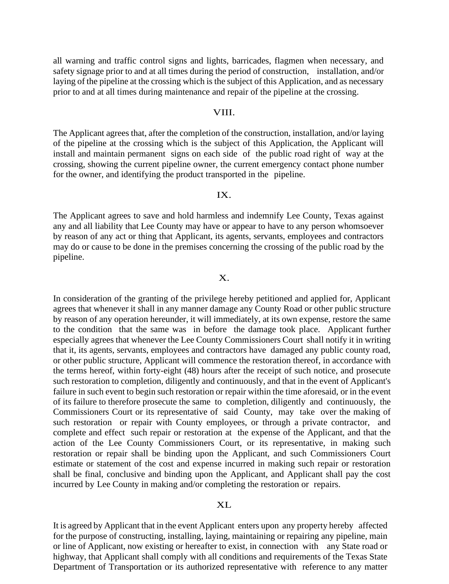all warning and traffic control signs and lights, barricades, flagmen when necessary, and safety signage prior to and at all times during the period of construction, installation, and/or laying of the pipeline at the crossing which is the subject of this Application, and as necessary prior to and at all times during maintenance and repair of the pipeline at the crossing.

#### VIII.

The Applicant agrees that, after the completion of the construction, installation, and/or laying of the pipeline at the crossing which is the subject of this Application, the Applicant will install and maintain permanent signs on each side of the public road right of way at the crossing, showing the current pipeline owner, the current emergency contact phone number for the owner, and identifying the product transported in the pipeline.

### IX.

The Applicant agrees to save and hold harmless and indemnify Lee County, Texas against any and all liability that Lee County may have or appear to have to any person whomsoever by reason of any act or thing that Applicant, its agents, servants, employees and contractors may do or cause to be done in the premises concerning the crossing of the public road by the pipeline.

### X.

In consideration of the granting of the privilege hereby petitioned and applied for, Applicant agrees that whenever it shall in any manner damage any County Road or other public structure by reason of any operation hereunder, it will immediately, at its own expense, restore the same to the condition that the same was in before the damage took place. Applicant further especially agrees that whenever the Lee County Commissioners Court shall notify it in writing that it, its agents, servants, employees and contractors have damaged any public county road, or other public structure, Applicant will commence the restoration thereof, in accordance with the terms hereof, within forty-eight (48) hours after the receipt of such notice, and prosecute such restoration to completion, diligently and continuously, and that in the event of Applicant's failure in such event to begin such restoration or repair within the time aforesaid, or in the event of its failure to therefore prosecute the same to completion, diligently and continuously, the Commissioners Court or its representative of said County, may take over the making of such restoration or repair with County employees, or through a private contractor, and complete and effect such repair or restoration at the expense of the Applicant, and that the action of the Lee County Commissioners Court, or its representative, in making such restoration or repair shall be binding upon the Applicant, and such Commissioners Court estimate or statement of the cost and expense incurred in making such repair or restoration shall be final, conclusive and binding upon the Applicant, and Applicant shall pay the cost incurred by Lee County in making and/or completing the restoration or repairs.

#### XL

It is agreed by Applicant that in the event Applicant enters upon any property hereby affected for the purpose of constructing, installing, laying, maintaining or repairing any pipeline, main or line of Applicant, now existing or hereafter to exist, in connection with any State road or highway, that Applicant shall comply with all conditions and requirements of the Texas State Department of Transportation or its authorized representative with reference to any matter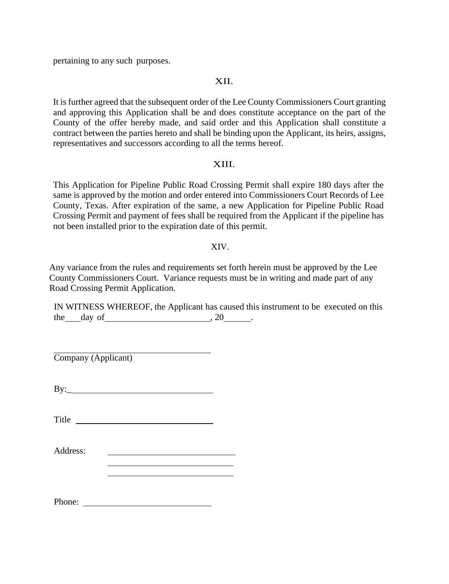pertaining to any such purposes.

# XII.

It is further agreed that the subsequent order of the Lee County Commissioners Court granting and approving this Application shall be and does constitute acceptance on the part of the County of the offer hereby made, and said order and this Application shall constitute a contract between the parties hereto and shall be binding upon the Applicant, its heirs, assigns, representatives and successors according to all the terms hereof.

### XIII.

This Application for Pipeline Public Road Crossing Permit shall expire 180 days after the same is approved by the motion and order entered into Commissioners Court Records of Lee County, Texas. After expiration of the same, a new Application for Pipeline Public Road Crossing Permit and payment of fees shall be required from the Applicant if the pipeline has not been installed prior to the expiration date of this permit.

# XIV.

Any variance from the rules and requirements set forth herein must be approved by the Lee County Commissioners Court. Variance requests must be in writing and made part of any Road Crossing Permit Application.

IN WITNESS WHEREOF, the Applicant has caused this instrument to be executed on this the day of , 20 .

Company (Applicant)

By:\_

Title

Address:

<u> 1980 - Johann Barbara, martxa amerikan personal (</u>

Phone: